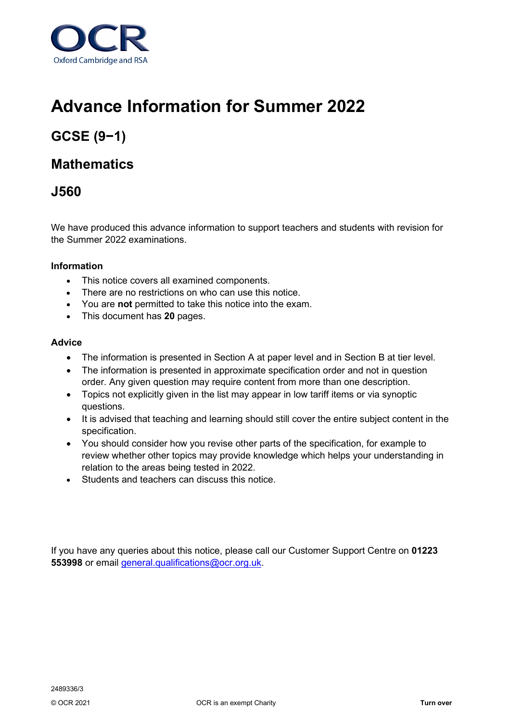

# **Advance Information for Summer 2022**

## **GCSE (9−1)**

## **Mathematics**

## **J560**

We have produced this advance information to support teachers and students with revision for the Summer 2022 examinations.

#### **Information**

- This notice covers all examined components.
- There are no restrictions on who can use this notice.
- You are **not** permitted to take this notice into the exam.
- This document has **20** pages.

#### **Advice**

- The information is presented in Section A at paper level and in Section B at tier level.
- The information is presented in approximate specification order and not in question order. Any given question may require content from more than one description.
- Topics not explicitly given in the list may appear in low tariff items or via synoptic questions.
- It is advised that teaching and learning should still cover the entire subject content in the specification.
- You should consider how you revise other parts of the specification, for example to review whether other topics may provide knowledge which helps your understanding in relation to the areas being tested in 2022.
- Students and teachers can discuss this notice.

If you have any queries about this notice, please call our Customer Support Centre on **01223 553998** or email [general.qualifications@ocr.org.uk.](mailto:general.qualifications@ocr.org.uk)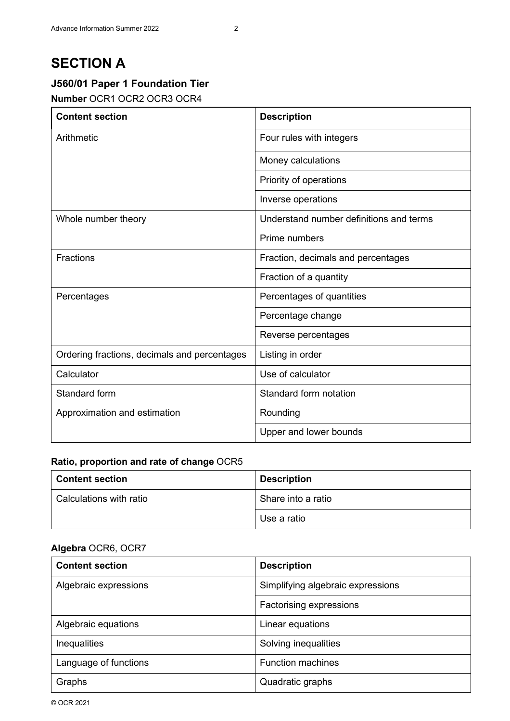## **SECTION A**

## **J560/01 Paper 1 Foundation Tier**

#### **Number** OCR1 OCR2 OCR3 OCR4

| <b>Content section</b>                       | <b>Description</b>                      |
|----------------------------------------------|-----------------------------------------|
| Arithmetic                                   | Four rules with integers                |
|                                              | Money calculations                      |
|                                              | Priority of operations                  |
|                                              | Inverse operations                      |
| Whole number theory                          | Understand number definitions and terms |
|                                              | Prime numbers                           |
| <b>Fractions</b>                             | Fraction, decimals and percentages      |
|                                              | Fraction of a quantity                  |
| Percentages                                  | Percentages of quantities               |
|                                              | Percentage change                       |
|                                              | Reverse percentages                     |
| Ordering fractions, decimals and percentages | Listing in order                        |
| Calculator                                   | Use of calculator                       |
| Standard form                                | Standard form notation                  |
| Approximation and estimation                 | Rounding                                |
|                                              | Upper and lower bounds                  |

#### **Ratio, proportion and rate of change** OCR5

| <b>Content section</b>    | <b>Description</b> |
|---------------------------|--------------------|
| l Calculations with ratio | Share into a ratio |
|                           | Use a ratio        |

| <b>Content section</b> | <b>Description</b>                |
|------------------------|-----------------------------------|
| Algebraic expressions  | Simplifying algebraic expressions |
|                        | Factorising expressions           |
| Algebraic equations    | Linear equations                  |
| Inequalities           | Solving inequalities              |
| Language of functions  | <b>Function machines</b>          |
| Graphs                 | Quadratic graphs                  |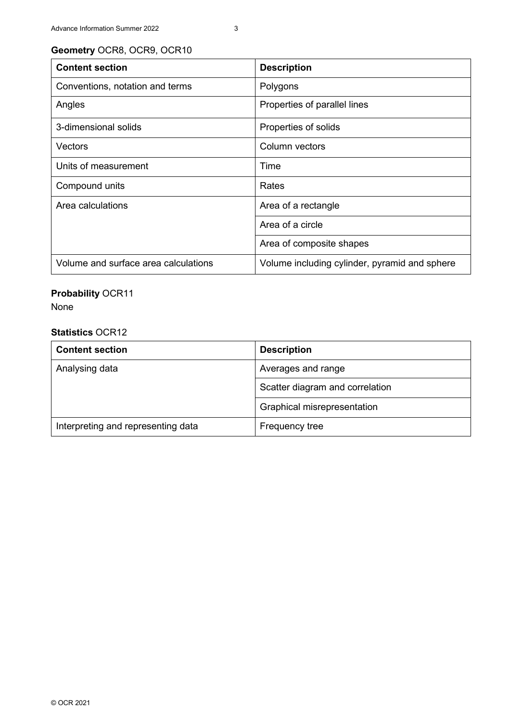| <b>Content section</b>               | <b>Description</b>                            |
|--------------------------------------|-----------------------------------------------|
| Conventions, notation and terms      | Polygons                                      |
| Angles                               | Properties of parallel lines                  |
| 3-dimensional solids                 | Properties of solids                          |
| <b>Vectors</b>                       | Column vectors                                |
| Units of measurement                 | Time                                          |
| Compound units                       | Rates                                         |
| Area calculations                    | Area of a rectangle                           |
|                                      | Area of a circle                              |
|                                      | Area of composite shapes                      |
| Volume and surface area calculations | Volume including cylinder, pyramid and sphere |

## **Probability** OCR11

None

| <b>Content section</b>             | <b>Description</b>              |
|------------------------------------|---------------------------------|
| Analysing data                     | Averages and range              |
|                                    | Scatter diagram and correlation |
|                                    | Graphical misrepresentation     |
| Interpreting and representing data | Frequency tree                  |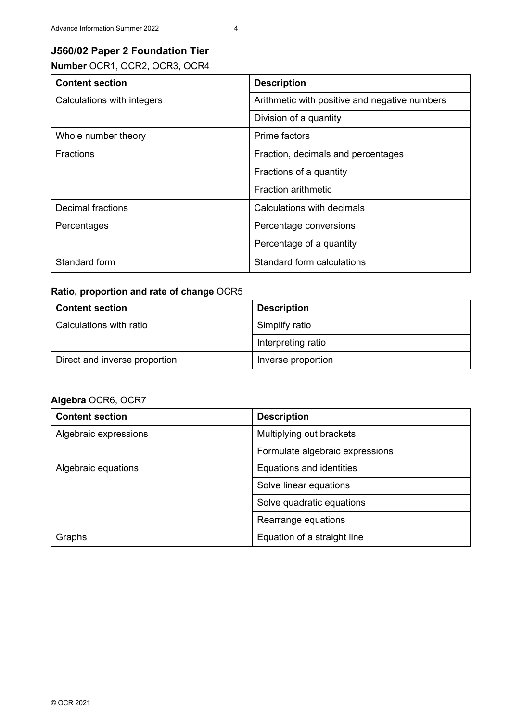#### **J560/02 Paper 2 Foundation Tier**

**Number** OCR1, OCR2, OCR3, OCR4

| <b>Content section</b>     | <b>Description</b>                            |
|----------------------------|-----------------------------------------------|
| Calculations with integers | Arithmetic with positive and negative numbers |
|                            | Division of a quantity                        |
| Whole number theory        | Prime factors                                 |
| <b>Fractions</b>           | Fraction, decimals and percentages            |
|                            | Fractions of a quantity                       |
|                            | <b>Fraction arithmetic</b>                    |
| <b>Decimal fractions</b>   | Calculations with decimals                    |
| Percentages                | Percentage conversions                        |
|                            | Percentage of a quantity                      |
| Standard form              | Standard form calculations                    |

#### **Ratio, proportion and rate of change** OCR5

| <b>Content section</b>        | <b>Description</b> |
|-------------------------------|--------------------|
| Calculations with ratio       | Simplify ratio     |
|                               | Interpreting ratio |
| Direct and inverse proportion | Inverse proportion |

| <b>Content section</b> | <b>Description</b>              |
|------------------------|---------------------------------|
| Algebraic expressions  | Multiplying out brackets        |
|                        | Formulate algebraic expressions |
| Algebraic equations    | Equations and identities        |
|                        | Solve linear equations          |
|                        | Solve quadratic equations       |
|                        | Rearrange equations             |
| Graphs                 | Equation of a straight line     |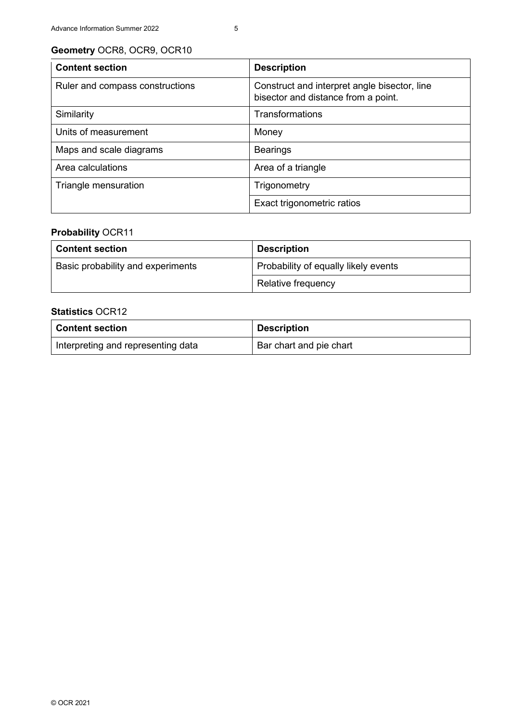| <b>Content section</b>          | <b>Description</b>                                                                  |
|---------------------------------|-------------------------------------------------------------------------------------|
| Ruler and compass constructions | Construct and interpret angle bisector, line<br>bisector and distance from a point. |
| Similarity                      | Transformations                                                                     |
| Units of measurement            | Money                                                                               |
| Maps and scale diagrams         | <b>Bearings</b>                                                                     |
| Area calculations               | Area of a triangle                                                                  |
| Triangle mensuration            | Trigonometry                                                                        |
|                                 | Exact trigonometric ratios                                                          |

## **Probability** OCR11

| <b>Content section</b>            | <b>Description</b>                   |
|-----------------------------------|--------------------------------------|
| Basic probability and experiments | Probability of equally likely events |
|                                   | Relative frequency                   |

| <b>Content section</b>             | <b>Description</b>      |
|------------------------------------|-------------------------|
| Interpreting and representing data | Bar chart and pie chart |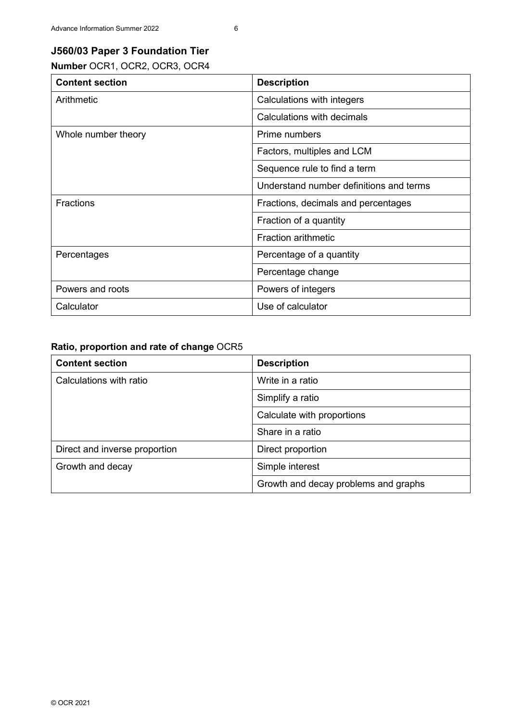### **J560/03 Paper 3 Foundation Tier**

**Number** OCR1, OCR2, OCR3, OCR4

| <b>Content section</b> | <b>Description</b>                      |
|------------------------|-----------------------------------------|
| Arithmetic             | Calculations with integers              |
|                        | Calculations with decimals              |
| Whole number theory    | Prime numbers                           |
|                        | Factors, multiples and LCM              |
|                        | Sequence rule to find a term            |
|                        | Understand number definitions and terms |
| <b>Fractions</b>       | Fractions, decimals and percentages     |
|                        | Fraction of a quantity                  |
|                        | <b>Fraction arithmetic</b>              |
| Percentages            | Percentage of a quantity                |
|                        | Percentage change                       |
| Powers and roots       | Powers of integers                      |
| Calculator             | Use of calculator                       |

#### **Ratio, proportion and rate of change** OCR5

| <b>Content section</b>        | <b>Description</b>                   |
|-------------------------------|--------------------------------------|
| Calculations with ratio       | Write in a ratio                     |
|                               | Simplify a ratio                     |
|                               | Calculate with proportions           |
|                               | Share in a ratio                     |
| Direct and inverse proportion | Direct proportion                    |
| Growth and decay              | Simple interest                      |
|                               | Growth and decay problems and graphs |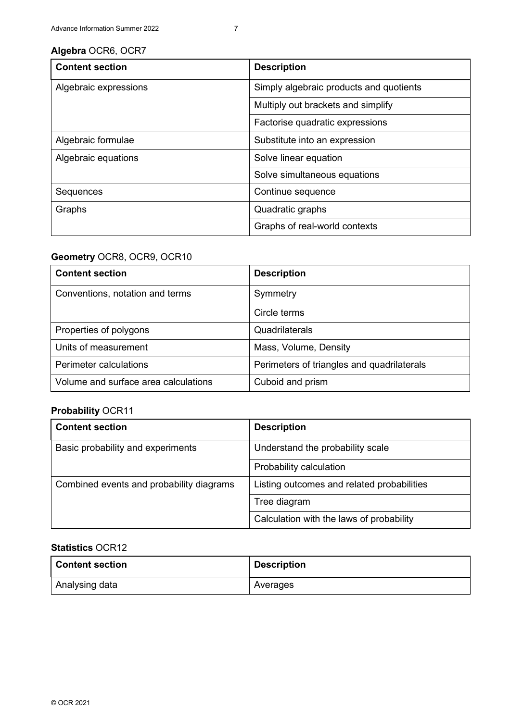#### **Algebra** OCR6, OCR7

| <b>Content section</b> | <b>Description</b>                      |
|------------------------|-----------------------------------------|
| Algebraic expressions  | Simply algebraic products and quotients |
|                        | Multiply out brackets and simplify      |
|                        | Factorise quadratic expressions         |
| Algebraic formulae     | Substitute into an expression           |
| Algebraic equations    | Solve linear equation                   |
|                        | Solve simultaneous equations            |
| Sequences              | Continue sequence                       |
| Graphs                 | Quadratic graphs                        |
|                        | Graphs of real-world contexts           |

#### **Geometry** OCR8, OCR9, OCR10

| <b>Content section</b>               | <b>Description</b>                         |
|--------------------------------------|--------------------------------------------|
| Conventions, notation and terms      | Symmetry                                   |
|                                      | Circle terms                               |
| Properties of polygons               | Quadrilaterals                             |
| Units of measurement                 | Mass, Volume, Density                      |
| Perimeter calculations               | Perimeters of triangles and quadrilaterals |
| Volume and surface area calculations | Cuboid and prism                           |

## **Probability** OCR11

| <b>Content section</b>                   | <b>Description</b>                         |
|------------------------------------------|--------------------------------------------|
| Basic probability and experiments        | Understand the probability scale           |
|                                          | Probability calculation                    |
| Combined events and probability diagrams | Listing outcomes and related probabilities |
|                                          | Tree diagram                               |
|                                          | Calculation with the laws of probability   |

| <b>Content section</b> | <b>Description</b> |
|------------------------|--------------------|
| Analysing data         | Averages           |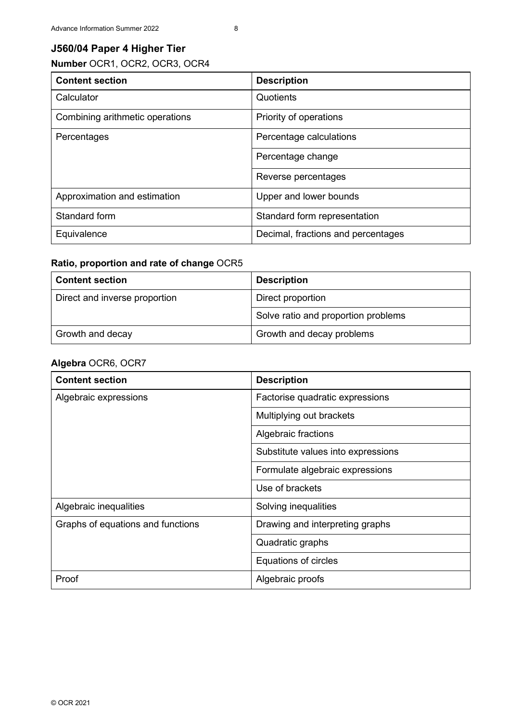## **J560/04 Paper 4 Higher Tier**

**Number** OCR1, OCR2, OCR3, OCR4

| <b>Content section</b>          | <b>Description</b>                 |
|---------------------------------|------------------------------------|
| Calculator                      | Quotients                          |
| Combining arithmetic operations | Priority of operations             |
| Percentages                     | Percentage calculations            |
|                                 | Percentage change                  |
|                                 | Reverse percentages                |
| Approximation and estimation    | Upper and lower bounds             |
| Standard form                   | Standard form representation       |
| Equivalence                     | Decimal, fractions and percentages |

#### **Ratio, proportion and rate of change** OCR5

| <b>Content section</b>        | <b>Description</b>                  |
|-------------------------------|-------------------------------------|
| Direct and inverse proportion | Direct proportion                   |
|                               | Solve ratio and proportion problems |
| Growth and decay              | Growth and decay problems           |

| <b>Content section</b>            | <b>Description</b>                 |
|-----------------------------------|------------------------------------|
| Algebraic expressions             | Factorise quadratic expressions    |
|                                   | Multiplying out brackets           |
|                                   | Algebraic fractions                |
|                                   | Substitute values into expressions |
|                                   | Formulate algebraic expressions    |
|                                   | Use of brackets                    |
| Algebraic inequalities            | Solving inequalities               |
| Graphs of equations and functions | Drawing and interpreting graphs    |
|                                   | Quadratic graphs                   |
|                                   | Equations of circles               |
| Proof                             | Algebraic proofs                   |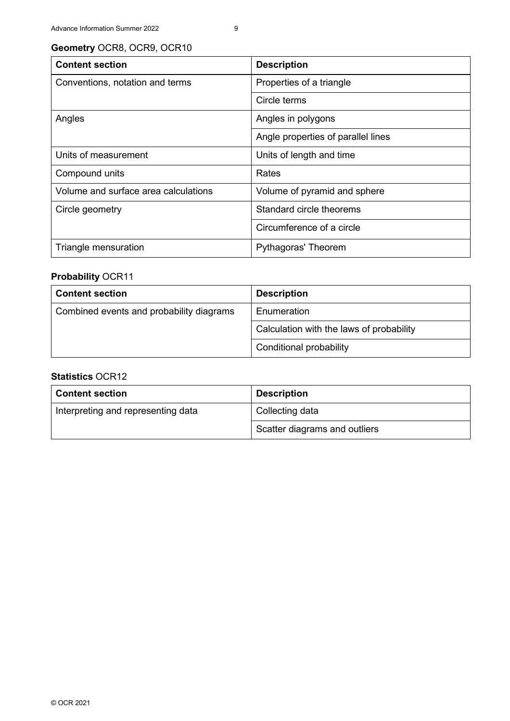| <b>Content section</b>               | <b>Description</b>                 |
|--------------------------------------|------------------------------------|
| Conventions, notation and terms      | Properties of a triangle           |
|                                      | Circle terms                       |
| Angles                               | Angles in polygons                 |
|                                      | Angle properties of parallel lines |
| Units of measurement                 | Units of length and time           |
| Compound units                       | Rates                              |
| Volume and surface area calculations | Volume of pyramid and sphere       |
| Circle geometry                      | Standard circle theorems           |
|                                      | Circumference of a circle          |
| Triangle mensuration                 | Pythagoras' Theorem                |

#### **Probability** OCR11

| <b>Content section</b>                   | <b>Description</b>                       |
|------------------------------------------|------------------------------------------|
| Combined events and probability diagrams | Enumeration                              |
|                                          | Calculation with the laws of probability |
|                                          | <b>Conditional probability</b>           |

| <b>Content section</b>             | <b>Description</b>            |
|------------------------------------|-------------------------------|
| Interpreting and representing data | Collecting data               |
|                                    | Scatter diagrams and outliers |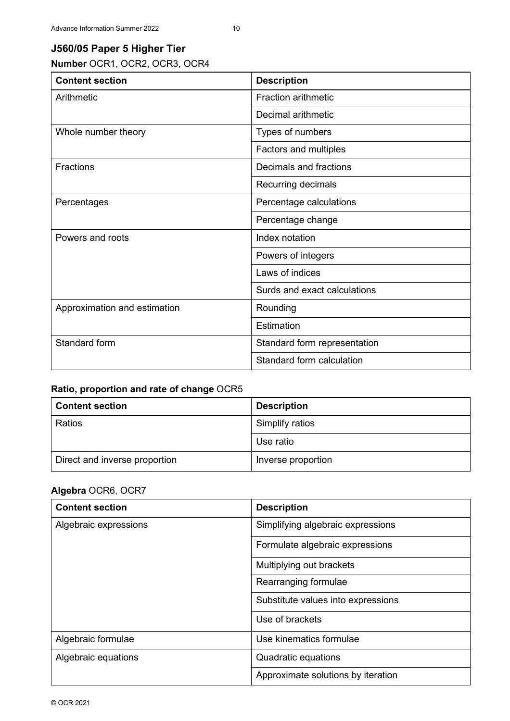## **J560/05 Paper 5 Higher Tier**

**Number** OCR1, OCR2, OCR3, OCR4

| <b>Content section</b>       | <b>Description</b>           |
|------------------------------|------------------------------|
| Arithmetic                   | <b>Fraction arithmetic</b>   |
|                              | Decimal arithmetic           |
| Whole number theory          | Types of numbers             |
|                              | Factors and multiples        |
| Fractions                    | Decimals and fractions       |
|                              | Recurring decimals           |
| Percentages                  | Percentage calculations      |
|                              | Percentage change            |
| Powers and roots             | Index notation               |
|                              | Powers of integers           |
|                              | Laws of indices              |
|                              | Surds and exact calculations |
| Approximation and estimation | Rounding                     |
|                              | Estimation                   |
| Standard form                | Standard form representation |
|                              | Standard form calculation    |

#### **Ratio, proportion and rate of change** OCR5

| <b>Content section</b>        | <b>Description</b> |
|-------------------------------|--------------------|
| Ratios                        | Simplify ratios    |
|                               | Use ratio          |
| Direct and inverse proportion | Inverse proportion |

| <b>Content section</b> | <b>Description</b>                 |
|------------------------|------------------------------------|
| Algebraic expressions  | Simplifying algebraic expressions  |
|                        | Formulate algebraic expressions    |
|                        | Multiplying out brackets           |
|                        | Rearranging formulae               |
|                        | Substitute values into expressions |
|                        | Use of brackets                    |
| Algebraic formulae     | Use kinematics formulae            |
| Algebraic equations    | Quadratic equations                |
|                        | Approximate solutions by iteration |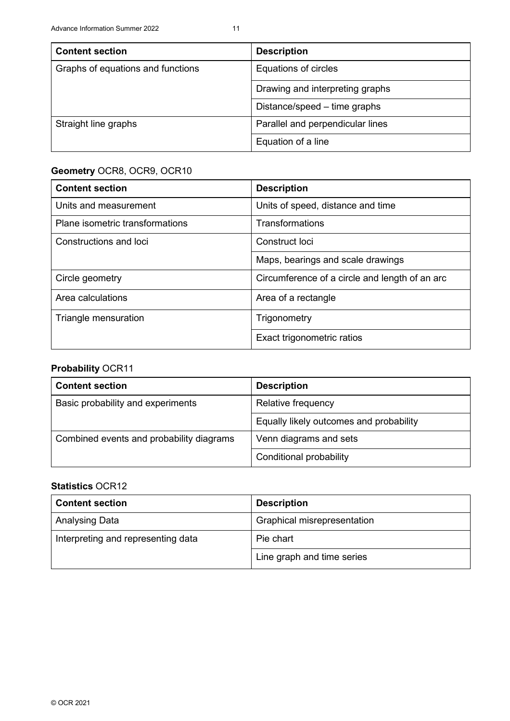| <b>Content section</b>            | <b>Description</b>               |
|-----------------------------------|----------------------------------|
| Graphs of equations and functions | Equations of circles             |
|                                   | Drawing and interpreting graphs  |
|                                   | Distance/speed – time graphs     |
| Straight line graphs              | Parallel and perpendicular lines |
|                                   | Equation of a line               |

| <b>Content section</b>          | <b>Description</b>                             |
|---------------------------------|------------------------------------------------|
| Units and measurement           | Units of speed, distance and time              |
| Plane isometric transformations | Transformations                                |
| Constructions and loci          | Construct loci                                 |
|                                 | Maps, bearings and scale drawings              |
| Circle geometry                 | Circumference of a circle and length of an arc |
| Area calculations               | Area of a rectangle                            |
| Triangle mensuration            | Trigonometry                                   |
|                                 | Exact trigonometric ratios                     |

#### **Probability** OCR11

| <b>Content section</b>                   | <b>Description</b>                      |
|------------------------------------------|-----------------------------------------|
| Basic probability and experiments        | Relative frequency                      |
|                                          | Equally likely outcomes and probability |
| Combined events and probability diagrams | Venn diagrams and sets                  |
|                                          | Conditional probability                 |

| <b>Content section</b>             | <b>Description</b>          |
|------------------------------------|-----------------------------|
| Analysing Data                     | Graphical misrepresentation |
| Interpreting and representing data | Pie chart                   |
|                                    | Line graph and time series  |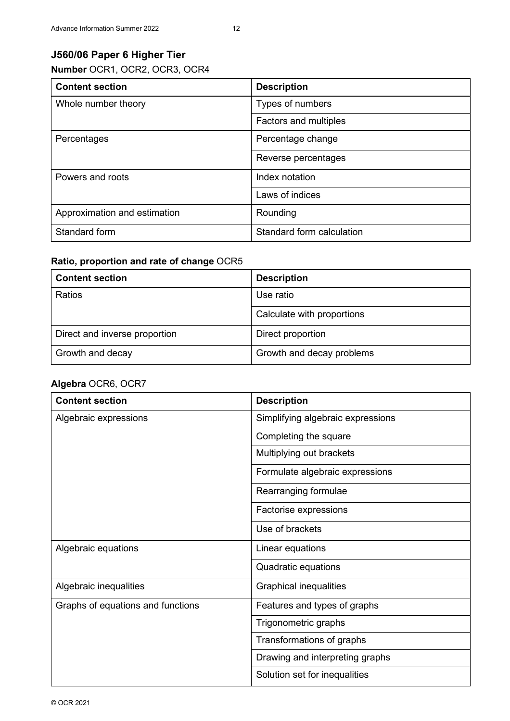## **J560/06 Paper 6 Higher Tier**

**Number** OCR1, OCR2, OCR3, OCR4

| <b>Content section</b>       | <b>Description</b>           |
|------------------------------|------------------------------|
| Whole number theory          | Types of numbers             |
|                              | <b>Factors and multiples</b> |
| Percentages                  | Percentage change            |
|                              | Reverse percentages          |
| Powers and roots             | Index notation               |
|                              | Laws of indices              |
| Approximation and estimation | Rounding                     |
| Standard form                | Standard form calculation    |

#### **Ratio, proportion and rate of change** OCR5

| <b>Content section</b>        | <b>Description</b>         |
|-------------------------------|----------------------------|
| Ratios                        | Use ratio                  |
|                               | Calculate with proportions |
| Direct and inverse proportion | Direct proportion          |
| Growth and decay              | Growth and decay problems  |

| <b>Content section</b>            | <b>Description</b>                |
|-----------------------------------|-----------------------------------|
| Algebraic expressions             | Simplifying algebraic expressions |
|                                   | Completing the square             |
|                                   | Multiplying out brackets          |
|                                   | Formulate algebraic expressions   |
|                                   | Rearranging formulae              |
|                                   | Factorise expressions             |
|                                   | Use of brackets                   |
| Algebraic equations               | Linear equations                  |
|                                   | Quadratic equations               |
| Algebraic inequalities            | <b>Graphical inequalities</b>     |
| Graphs of equations and functions | Features and types of graphs      |
|                                   | Trigonometric graphs              |
|                                   | Transformations of graphs         |
|                                   | Drawing and interpreting graphs   |
|                                   | Solution set for inequalities     |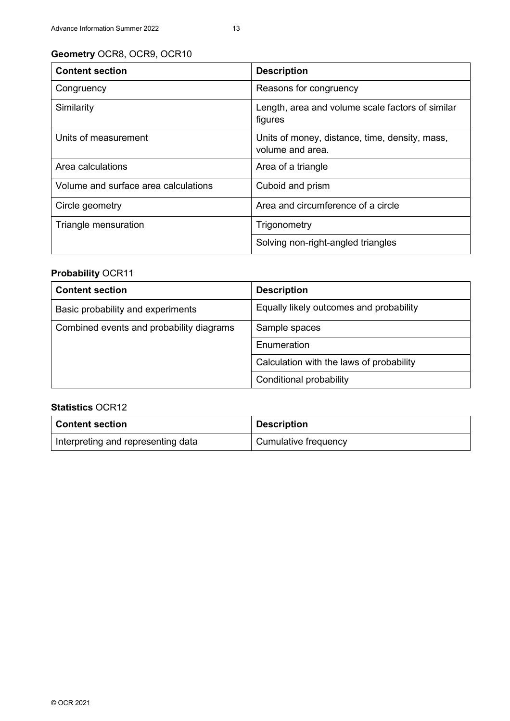| <b>Content section</b>               | <b>Description</b>                                                 |
|--------------------------------------|--------------------------------------------------------------------|
| Congruency                           | Reasons for congruency                                             |
| Similarity                           | Length, area and volume scale factors of similar<br>figures        |
| Units of measurement                 | Units of money, distance, time, density, mass,<br>volume and area. |
| Area calculations                    | Area of a triangle                                                 |
| Volume and surface area calculations | Cuboid and prism                                                   |
| Circle geometry                      | Area and circumference of a circle                                 |
| Triangle mensuration                 | Trigonometry                                                       |
|                                      | Solving non-right-angled triangles                                 |

## **Probability** OCR11

| <b>Content section</b>                   | <b>Description</b>                       |
|------------------------------------------|------------------------------------------|
| Basic probability and experiments        | Equally likely outcomes and probability  |
| Combined events and probability diagrams | Sample spaces                            |
|                                          | Enumeration                              |
|                                          | Calculation with the laws of probability |
|                                          | Conditional probability                  |

| <b>Content section</b>             | <b>Description</b>   |
|------------------------------------|----------------------|
| Interpreting and representing data | Cumulative frequency |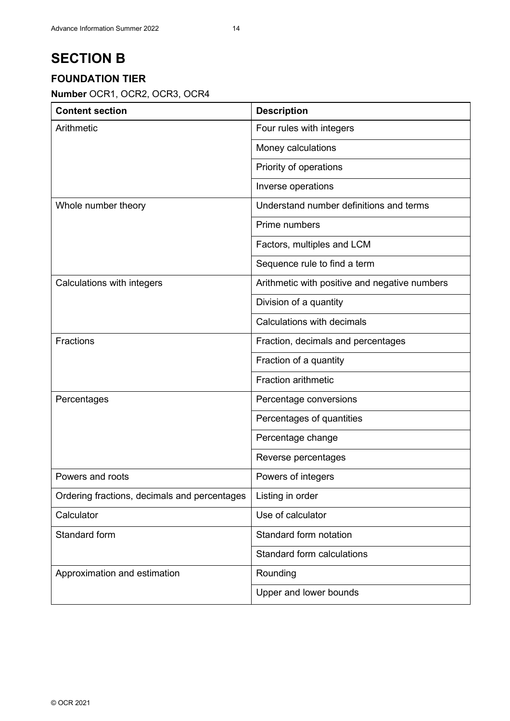## **FOUNDATION TIER**

**Number** OCR1, OCR2, OCR3, OCR4

| <b>Content section</b>                       | <b>Description</b>                            |
|----------------------------------------------|-----------------------------------------------|
| Arithmetic                                   | Four rules with integers                      |
|                                              | Money calculations                            |
|                                              | Priority of operations                        |
|                                              | Inverse operations                            |
| Whole number theory                          | Understand number definitions and terms       |
|                                              | Prime numbers                                 |
|                                              | Factors, multiples and LCM                    |
|                                              | Sequence rule to find a term                  |
| Calculations with integers                   | Arithmetic with positive and negative numbers |
|                                              | Division of a quantity                        |
|                                              | Calculations with decimals                    |
| <b>Fractions</b>                             | Fraction, decimals and percentages            |
|                                              | Fraction of a quantity                        |
|                                              | <b>Fraction arithmetic</b>                    |
| Percentages                                  | Percentage conversions                        |
|                                              | Percentages of quantities                     |
|                                              | Percentage change                             |
|                                              | Reverse percentages                           |
| Powers and roots                             | Powers of integers                            |
| Ordering fractions, decimals and percentages | Listing in order                              |
| Calculator                                   | Use of calculator                             |
| Standard form                                | Standard form notation                        |
|                                              | Standard form calculations                    |
| Approximation and estimation                 | Rounding                                      |
|                                              | Upper and lower bounds                        |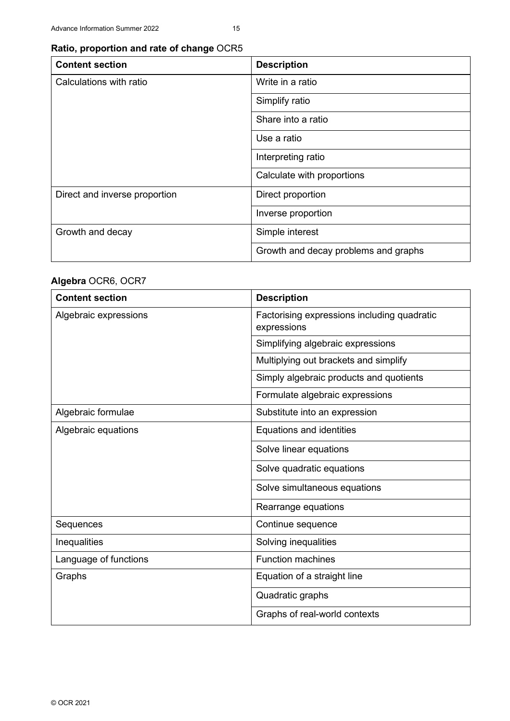## **Ratio, proportion and rate of change** OCR5

| <b>Content section</b>        | <b>Description</b>                   |
|-------------------------------|--------------------------------------|
| Calculations with ratio       | Write in a ratio                     |
|                               | Simplify ratio                       |
|                               | Share into a ratio                   |
|                               | Use a ratio                          |
|                               | Interpreting ratio                   |
|                               | Calculate with proportions           |
| Direct and inverse proportion | Direct proportion                    |
|                               | Inverse proportion                   |
| Growth and decay              | Simple interest                      |
|                               | Growth and decay problems and graphs |

| <b>Content section</b> | <b>Description</b>                                         |
|------------------------|------------------------------------------------------------|
| Algebraic expressions  | Factorising expressions including quadratic<br>expressions |
|                        | Simplifying algebraic expressions                          |
|                        | Multiplying out brackets and simplify                      |
|                        | Simply algebraic products and quotients                    |
|                        | Formulate algebraic expressions                            |
| Algebraic formulae     | Substitute into an expression                              |
| Algebraic equations    | Equations and identities                                   |
|                        | Solve linear equations                                     |
|                        | Solve quadratic equations                                  |
|                        | Solve simultaneous equations                               |
|                        | Rearrange equations                                        |
| Sequences              | Continue sequence                                          |
| Inequalities           | Solving inequalities                                       |
| Language of functions  | <b>Function machines</b>                                   |
| Graphs                 | Equation of a straight line                                |
|                        | Quadratic graphs                                           |
|                        | Graphs of real-world contexts                              |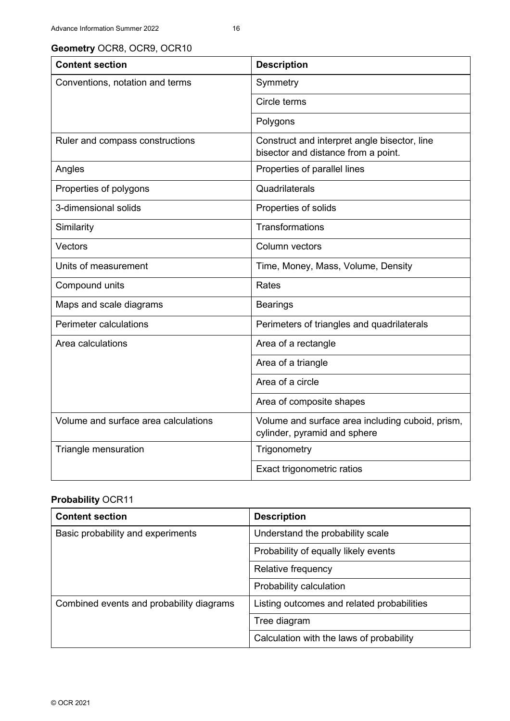| <b>Content section</b>               | <b>Description</b>                                                                  |
|--------------------------------------|-------------------------------------------------------------------------------------|
| Conventions, notation and terms      | Symmetry                                                                            |
|                                      | Circle terms                                                                        |
|                                      | Polygons                                                                            |
| Ruler and compass constructions      | Construct and interpret angle bisector, line<br>bisector and distance from a point. |
| Angles                               | Properties of parallel lines                                                        |
| Properties of polygons               | Quadrilaterals                                                                      |
| 3-dimensional solids                 | Properties of solids                                                                |
| Similarity                           | <b>Transformations</b>                                                              |
| Vectors                              | Column vectors                                                                      |
| Units of measurement                 | Time, Money, Mass, Volume, Density                                                  |
| Compound units                       | Rates                                                                               |
| Maps and scale diagrams              | <b>Bearings</b>                                                                     |
| Perimeter calculations               | Perimeters of triangles and quadrilaterals                                          |
| Area calculations                    | Area of a rectangle                                                                 |
|                                      | Area of a triangle                                                                  |
|                                      | Area of a circle                                                                    |
|                                      | Area of composite shapes                                                            |
| Volume and surface area calculations | Volume and surface area including cuboid, prism,<br>cylinder, pyramid and sphere    |
| Triangle mensuration                 | Trigonometry                                                                        |
|                                      | Exact trigonometric ratios                                                          |

#### **Probability** OCR11

| <b>Content section</b>                   | <b>Description</b>                         |
|------------------------------------------|--------------------------------------------|
| Basic probability and experiments        | Understand the probability scale           |
|                                          | Probability of equally likely events       |
|                                          | Relative frequency                         |
|                                          | Probability calculation                    |
| Combined events and probability diagrams | Listing outcomes and related probabilities |
|                                          | Tree diagram                               |
|                                          | Calculation with the laws of probability   |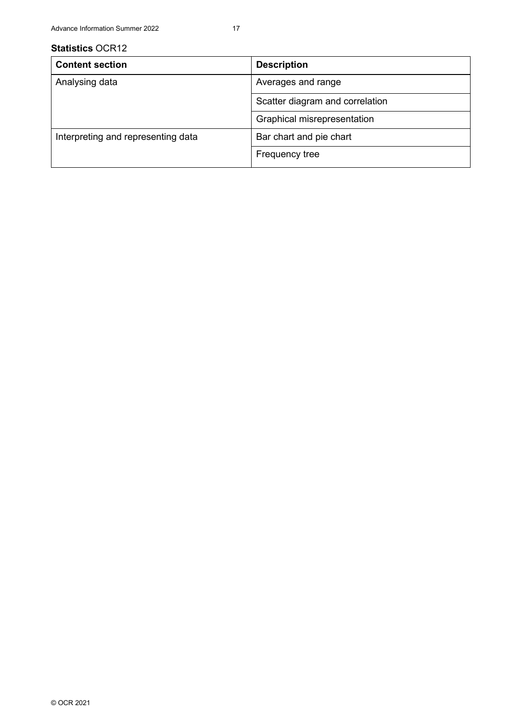| <b>Content section</b>             | <b>Description</b>              |
|------------------------------------|---------------------------------|
| Analysing data                     | Averages and range              |
|                                    | Scatter diagram and correlation |
|                                    | Graphical misrepresentation     |
| Interpreting and representing data | Bar chart and pie chart         |
|                                    | Frequency tree                  |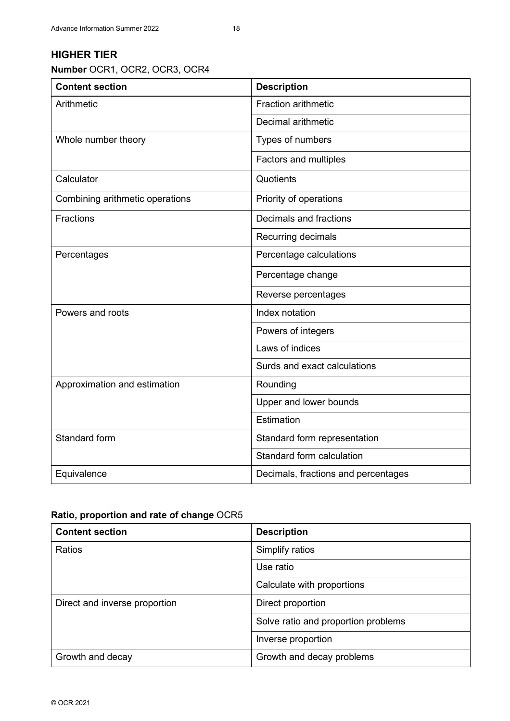### **HIGHER TIER**

**Number** OCR1, OCR2, OCR3, OCR4

| <b>Content section</b>          | <b>Description</b>                  |
|---------------------------------|-------------------------------------|
| Arithmetic                      | <b>Fraction arithmetic</b>          |
|                                 | Decimal arithmetic                  |
| Whole number theory             | Types of numbers                    |
|                                 | Factors and multiples               |
| Calculator                      | Quotients                           |
| Combining arithmetic operations | Priority of operations              |
| <b>Fractions</b>                | Decimals and fractions              |
|                                 | Recurring decimals                  |
| Percentages                     | Percentage calculations             |
|                                 | Percentage change                   |
|                                 | Reverse percentages                 |
| Powers and roots                | Index notation                      |
|                                 | Powers of integers                  |
|                                 | Laws of indices                     |
|                                 | Surds and exact calculations        |
| Approximation and estimation    | Rounding                            |
|                                 | Upper and lower bounds              |
|                                 | Estimation                          |
| Standard form                   | Standard form representation        |
|                                 | Standard form calculation           |
| Equivalence                     | Decimals, fractions and percentages |

#### **Ratio, proportion and rate of change** OCR5

| <b>Content section</b>        | <b>Description</b>                  |
|-------------------------------|-------------------------------------|
| Ratios                        | Simplify ratios                     |
|                               | Use ratio                           |
|                               | Calculate with proportions          |
| Direct and inverse proportion | Direct proportion                   |
|                               | Solve ratio and proportion problems |
|                               | Inverse proportion                  |
| Growth and decay              | Growth and decay problems           |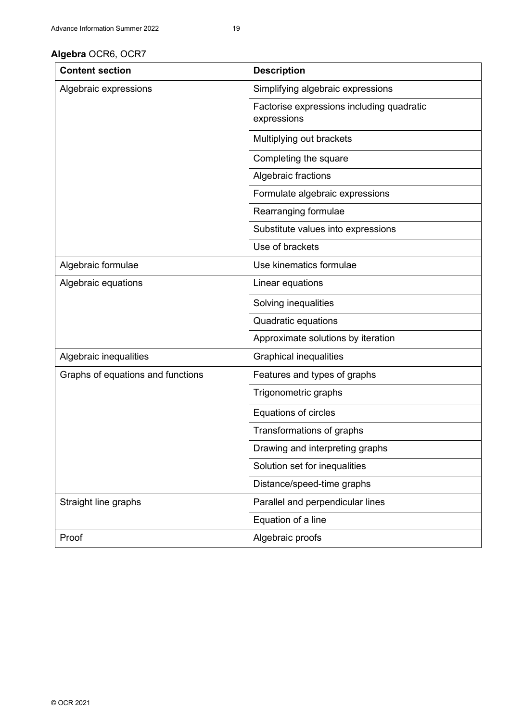| <b>Content section</b>            | <b>Description</b>                                       |
|-----------------------------------|----------------------------------------------------------|
| Algebraic expressions             | Simplifying algebraic expressions                        |
|                                   | Factorise expressions including quadratic<br>expressions |
|                                   | Multiplying out brackets                                 |
|                                   | Completing the square                                    |
|                                   | Algebraic fractions                                      |
|                                   | Formulate algebraic expressions                          |
|                                   | Rearranging formulae                                     |
|                                   | Substitute values into expressions                       |
|                                   | Use of brackets                                          |
| Algebraic formulae                | Use kinematics formulae                                  |
| Algebraic equations               | Linear equations                                         |
|                                   | Solving inequalities                                     |
|                                   | Quadratic equations                                      |
|                                   | Approximate solutions by iteration                       |
| Algebraic inequalities            | <b>Graphical inequalities</b>                            |
| Graphs of equations and functions | Features and types of graphs                             |
|                                   | Trigonometric graphs                                     |
|                                   | Equations of circles                                     |
|                                   | Transformations of graphs                                |
|                                   | Drawing and interpreting graphs                          |
|                                   | Solution set for inequalities                            |
|                                   | Distance/speed-time graphs                               |
| Straight line graphs              | Parallel and perpendicular lines                         |
|                                   | Equation of a line                                       |
| Proof                             | Algebraic proofs                                         |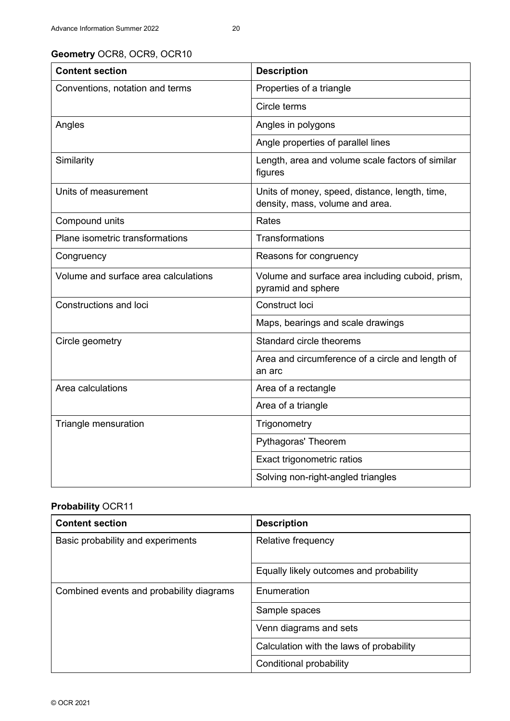| <b>Content section</b>               | <b>Description</b>                                                                |
|--------------------------------------|-----------------------------------------------------------------------------------|
| Conventions, notation and terms      | Properties of a triangle                                                          |
|                                      | Circle terms                                                                      |
| Angles                               | Angles in polygons                                                                |
|                                      | Angle properties of parallel lines                                                |
| Similarity                           | Length, area and volume scale factors of similar<br>figures                       |
| Units of measurement                 | Units of money, speed, distance, length, time,<br>density, mass, volume and area. |
| Compound units                       | Rates                                                                             |
| Plane isometric transformations      | Transformations                                                                   |
| Congruency                           | Reasons for congruency                                                            |
| Volume and surface area calculations | Volume and surface area including cuboid, prism,<br>pyramid and sphere            |
| Constructions and loci               | Construct loci                                                                    |
|                                      | Maps, bearings and scale drawings                                                 |
| Circle geometry                      | Standard circle theorems                                                          |
|                                      | Area and circumference of a circle and length of<br>an arc                        |
| Area calculations                    | Area of a rectangle                                                               |
|                                      | Area of a triangle                                                                |
| Triangle mensuration                 | Trigonometry                                                                      |
|                                      | Pythagoras' Theorem                                                               |
|                                      | Exact trigonometric ratios                                                        |
|                                      | Solving non-right-angled triangles                                                |

## **Probability** OCR11

| <b>Content section</b>                   | <b>Description</b>                       |
|------------------------------------------|------------------------------------------|
| Basic probability and experiments        | Relative frequency                       |
|                                          | Equally likely outcomes and probability  |
| Combined events and probability diagrams | Enumeration                              |
|                                          | Sample spaces                            |
|                                          | Venn diagrams and sets                   |
|                                          | Calculation with the laws of probability |
|                                          | Conditional probability                  |